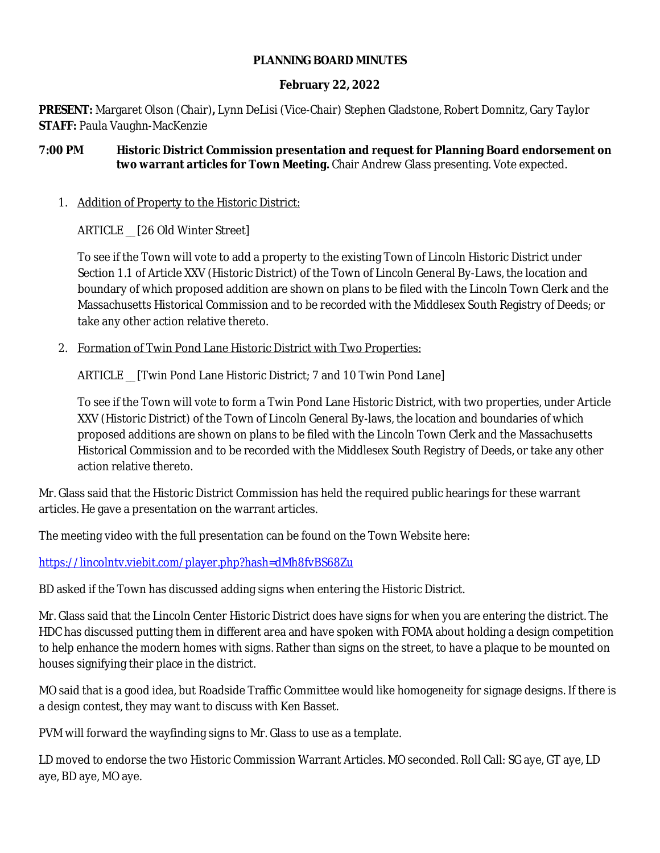#### **PLANNING BOARD MINUTES**

#### **February 22, 2022**

**PRESENT:** Margaret Olson (Chair)**,** Lynn DeLisi (Vice-Chair) Stephen Gladstone, Robert Domnitz, Gary Taylor **STAFF:** Paula Vaughn-MacKenzie

#### **7:00 PM Historic District Commission presentation and request for Planning Board endorsement on two warrant articles for Town Meeting.** Chair Andrew Glass presenting. Vote expected.

## 1. Addition of Property to the Historic District:

ARTICLE \_\_ [26 Old Winter Street]

To see if the Town will vote to add a property to the existing Town of Lincoln Historic District under Section 1.1 of Article XXV (Historic District) of the Town of Lincoln General By-Laws, the location and boundary of which proposed addition are shown on plans to be filed with the Lincoln Town Clerk and the Massachusetts Historical Commission and to be recorded with the Middlesex South Registry of Deeds; or take any other action relative thereto.

2. Formation of Twin Pond Lane Historic District with Two Properties:

ARTICLE [Twin Pond Lane Historic District; 7 and 10 Twin Pond Lane]

To see if the Town will vote to form a Twin Pond Lane Historic District, with two properties, under Article XXV (Historic District) of the Town of Lincoln General By-laws, the location and boundaries of which proposed additions are shown on plans to be filed with the Lincoln Town Clerk and the Massachusetts Historical Commission and to be recorded with the Middlesex South Registry of Deeds, or take any other action relative thereto.

Mr. Glass said that the Historic District Commission has held the required public hearings for these warrant articles. He gave a presentation on the warrant articles.

The meeting video with the full presentation can be found on the Town Website here:

<https://lincolntv.viebit.com/player.php?hash=dMh8fvBS68Zu>

BD asked if the Town has discussed adding signs when entering the Historic District.

Mr. Glass said that the Lincoln Center Historic District does have signs for when you are entering the district. The HDC has discussed putting them in different area and have spoken with FOMA about holding a design competition to help enhance the modern homes with signs. Rather than signs on the street, to have a plaque to be mounted on houses signifying their place in the district.

MO said that is a good idea, but Roadside Traffic Committee would like homogeneity for signage designs. If there is a design contest, they may want to discuss with Ken Basset.

PVM will forward the wayfinding signs to Mr. Glass to use as a template.

LD moved to endorse the two Historic Commission Warrant Articles. MO seconded. Roll Call: SG aye, GT aye, LD aye, BD aye, MO aye.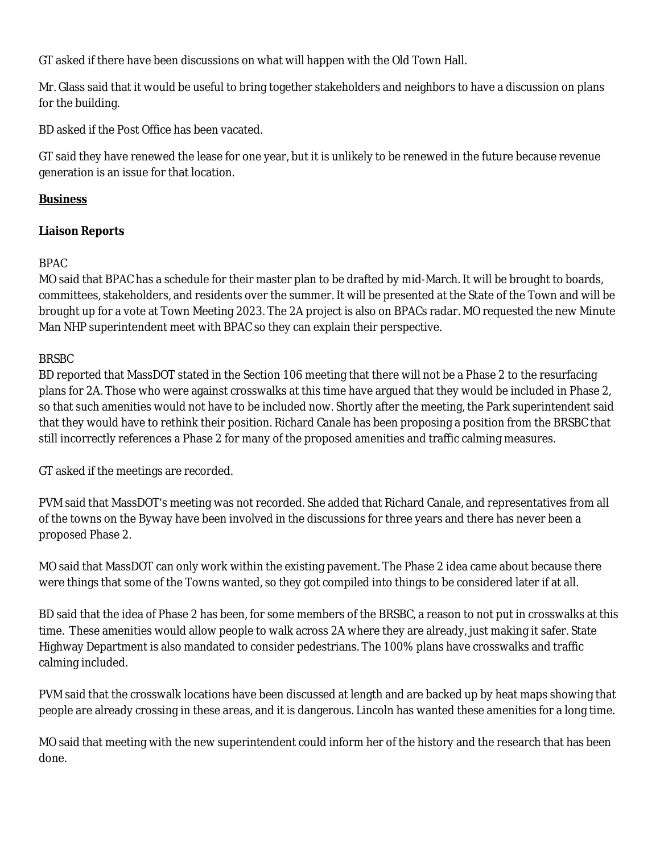GT asked if there have been discussions on what will happen with the Old Town Hall.

Mr. Glass said that it would be useful to bring together stakeholders and neighbors to have a discussion on plans for the building.

BD asked if the Post Office has been vacated.

GT said they have renewed the lease for one year, but it is unlikely to be renewed in the future because revenue generation is an issue for that location.

# **Business**

# **Liaison Reports**

### BPAC

MO said that BPAC has a schedule for their master plan to be drafted by mid-March. It will be brought to boards, committees, stakeholders, and residents over the summer. It will be presented at the State of the Town and will be brought up for a vote at Town Meeting 2023. The 2A project is also on BPACs radar. MO requested the new Minute Man NHP superintendent meet with BPAC so they can explain their perspective.

# BRSBC

BD reported that MassDOT stated in the Section 106 meeting that there will not be a Phase 2 to the resurfacing plans for 2A. Those who were against crosswalks at this time have argued that they would be included in Phase 2, so that such amenities would not have to be included now. Shortly after the meeting, the Park superintendent said that they would have to rethink their position. Richard Canale has been proposing a position from the BRSBC that still incorrectly references a Phase 2 for many of the proposed amenities and traffic calming measures.

GT asked if the meetings are recorded.

PVM said that MassDOT's meeting was not recorded. She added that Richard Canale, and representatives from all of the towns on the Byway have been involved in the discussions for three years and there has never been a proposed Phase 2.

MO said that MassDOT can only work within the existing pavement. The Phase 2 idea came about because there were things that some of the Towns wanted, so they got compiled into things to be considered later if at all.

BD said that the idea of Phase 2 has been, for some members of the BRSBC, a reason to not put in crosswalks at this time. These amenities would allow people to walk across 2A where they are already, just making it safer. State Highway Department is also mandated to consider pedestrians. The 100% plans have crosswalks and traffic calming included.

PVM said that the crosswalk locations have been discussed at length and are backed up by heat maps showing that people are already crossing in these areas, and it is dangerous. Lincoln has wanted these amenities for a long time.

MO said that meeting with the new superintendent could inform her of the history and the research that has been done.